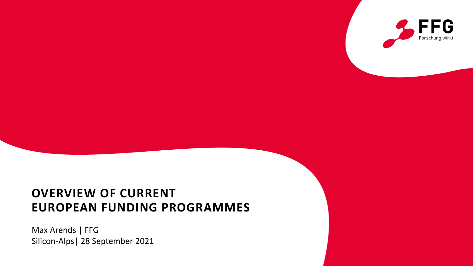

## **OVERVIEW OF CURRENT EUROPEAN FUNDING PROGRAMMES**

Max Arends | FFG Silicon-Alps| 28 September 2021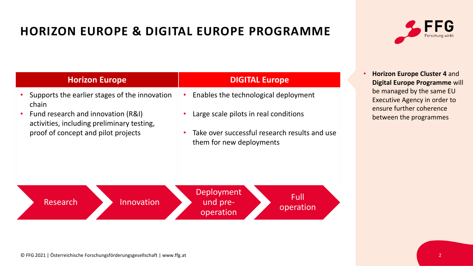# **HORIZON EUROPE & DIGITAL EUROPE PROGRAMME**



| <b>Horizon Europe</b>                                                                                                                                                             | <b>DIGITAL Europe</b>                                                                                                                                                                | <b>Horizon Europe Cluster 4 and</b><br>Digital Europe Programme will                                            |
|-----------------------------------------------------------------------------------------------------------------------------------------------------------------------------------|--------------------------------------------------------------------------------------------------------------------------------------------------------------------------------------|-----------------------------------------------------------------------------------------------------------------|
| Supports the earlier stages of the innovation<br>chain<br>Fund research and innovation (R&I)<br>activities, including preliminary testing,<br>proof of concept and pilot projects | Enables the technological deployment<br>Large scale pilots in real conditions<br>$\bullet$<br>Take over successful research results and use<br>$\bullet$<br>them for new deployments | be managed by the same EU<br>Executive Agency in order to<br>ensure further coherence<br>between the programmes |
| Research<br>Innovation                                                                                                                                                            | Deployment<br>Full<br>und pre-<br>operation<br>operation                                                                                                                             |                                                                                                                 |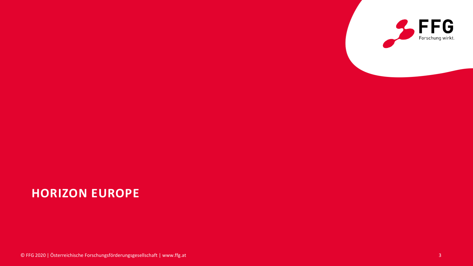

© FFG 2020 | Österreichische Forschungsförderungsgesellschaft | www.ffg.at 3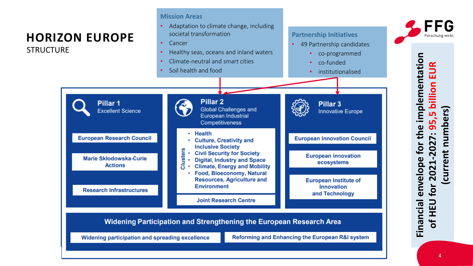© FFG I Österreichische Forschungsförderungsgesellschaft I www.ffg.at

**STRUCTURE** 

**Mission Areas**

- Adaptation to climate change, including societal transformation
- **Cancer**
- Healthy seas, oceans and inland waters
- Climate-neutral and smart cities
- Soil health and food



- 49 Partnership candidates
	- co-programmed
	- co-funded
	- institutionalised



envelope for the implementation **Financial envelope for the implementation of HEU for 2021-2027: 95,5 billion EUR**  EUR 95,5 billion **(current numbers)** numbers) for 2021-2027: current **Financial**  $\overline{\phantom{0}}$  $\bar{H}$  $\mathbf{b}$ 

Forschung wirl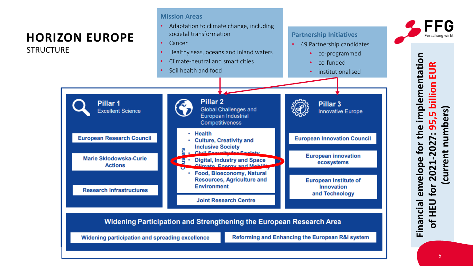**STRUCTURE** 

**Mission Areas**

- Adaptation to climate change, including societal transformation
- **Cancer**
- Healthy seas, oceans and inland waters
- Climate-neutral and smart cities
- Soil health and food



- 49 Partnership candidates
	- co-programmed
	- co-funded
	- institutionalised



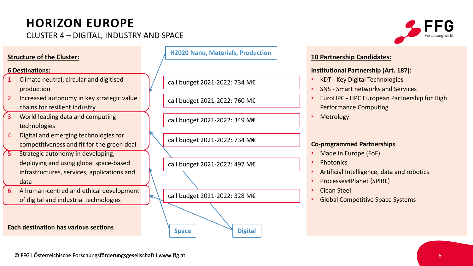CLUSTER 4 – DIGITAL, INDUSTRY AND SPACE

### **Structure of the Cluster:**

#### **6 Destinations:**

- 1. Climate neutral, circular and digitised production
- 2. Increased autonomy in key strategic value chains for resilient industry
- 3. World leading data and computing technologies
- 4. Digital and emerging technologies for competitiveness and fit for the green deal
- 5. Strategic autonomy in developing, deploying and using global space-based infrastructures, services, applications and data
- 6. A human-centred and ethical development of digital and industrial technologies

**Each destination has various sections**

**H2020 Nano, Materials, Production**

call budget 2021-2022: 734 M€

call budget 2021-2022: 760 M€

call budget 2021-2022: 349 M€

call budget 2021-2022: 734 M€

call budget 2021-2022: 497 M€

call budget 2021-2022: 328 M€

**Space Digital**



#### **10 Partnership Candidates:**

#### **Institutional Partnership (Art. 187):**

- KDT Key Digital Technologies
- SNS Smart networks and Services
- EuroHPC HPC European Partnership for High Performance Computing
- **Metrology**

#### **Co-programmed Partnerships**

- Made in Europe (FoF)
- Photonics
- Artificial Intelligence, data and robotics
- Processes4Planet (SPIRE)
- Clean Steel
- Global Competitive Space Systems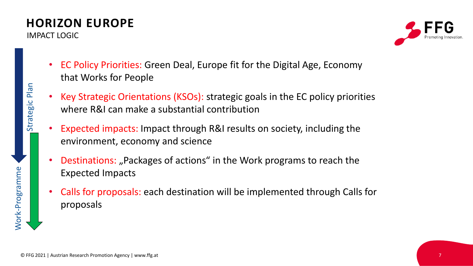IMPACT LOGIC



- EC Policy Priorities: Green Deal, Europe fit for the Digital Age, Economy that Works for People
- Key Strategic Orientations (KSOs): strategic goals in the EC policy priorities where R&I can make a substantial contribution
- Expected impacts: Impact through R&I results on society, including the environment, economy and science
- **Destinations:** "Packages of actions" in the Work programs to reach the Expected Impacts
- Calls for proposals: each destination will be implemented through Calls for proposals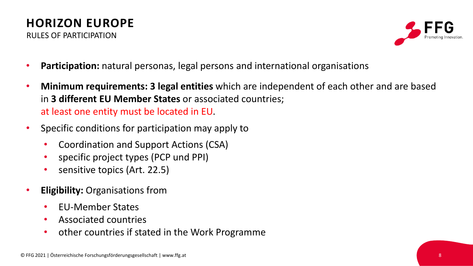

- **Participation:** natural personas, legal persons and international organisations
- **Minimum requirements: 3 legal entities** which are independent of each other and are based in **3 different EU Member States** or associated countries; at least one entity must be located in EU.
- Specific conditions for participation may apply to
	- Coordination and Support Actions (CSA)
	- specific project types (PCP und PPI)
	- sensitive topics (Art. 22.5)
- **Eligibility:** Organisations from
	- EU-Member States
	- Associated countries
	- other countries if stated in the Work Programme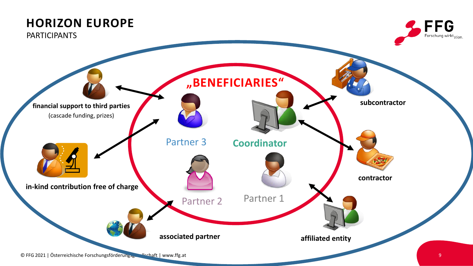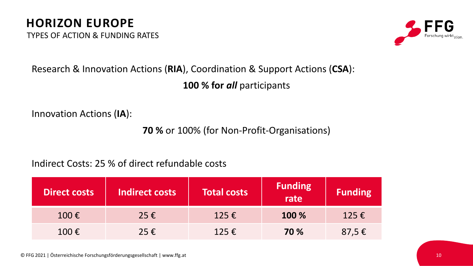TYPES OF ACTION & FUNDING RATES



# Research & Innovation Actions (**RIA**), Coordination & Support Actions (**CSA**): **100 % for** *all* participants

Innovation Actions (**IA**):

**70 %** or 100% (for Non-Profit-Organisations)

Indirect Costs: 25 % of direct refundable costs

| <b>Direct costs</b> | Indirect costs | <b>Total costs</b> | <b>Funding</b><br>rate | <b>Funding</b>  |
|---------------------|----------------|--------------------|------------------------|-----------------|
| $100 \text{ } \in$  | $25 \in$       | 125 $\epsilon$     | 100 %                  | 125 $\epsilon$  |
| 100€                | 25€            | 125 $\epsilon$     | 70 %                   | 87,5 $\epsilon$ |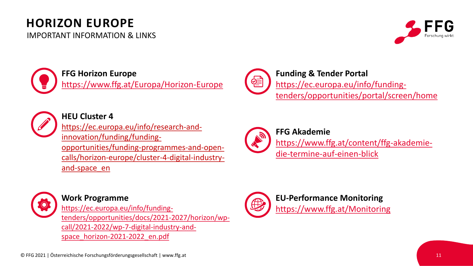IMPORTANT INFORMATION & LINKS





### **FFG Horizon Europe**

<https://www.ffg.at/Europa/Horizon-Europe>



**Funding & Tender Portal** https://ec.europa.eu/info/funding[tenders/opportunities/portal/screen/home](https://ec.europa.eu/info/funding-tenders/opportunities/portal/screen/home)



**HEU Cluster 4**

https://ec.europa.eu/info/research-andinnovation/funding/fundingopportunities/funding-programmes-and-opencalls/horizon-europe/cluster-4-digital-industryand-space\_en



**FFG Akademie** [https://www.ffg.at/content/ffg-akademie](https://www.horizon-europe-community.at/)die-termine-auf-einen-blick



### **Work Programme**

https://ec.europa.eu/info/funding[tenders/opportunities/docs/2021-2027/horizon/wp](https://ec.europa.eu/info/funding-tenders/opportunities/docs/2021-2027/horizon/wp-call/2021-2022/wp-7-digital-industry-and-space_horizon-2021-2022_en.pdf)call/2021-2022/wp-7-digital-industry-andspace\_horizon-2021-2022\_en.pdf



**EU-Performance Monitoring** <https://www.ffg.at/Monitoring>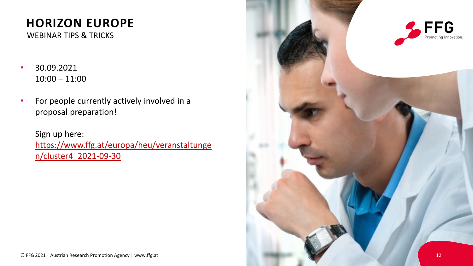WEBINAR TIPS & TRICKS

- 30.09.2021 10:00 – 11:00
- For people currently actively involved in a proposal preparation!

Sign up here: https://www.ffg.at/europa/heu/veranstaltunge n/cluster4\_2021-09-30

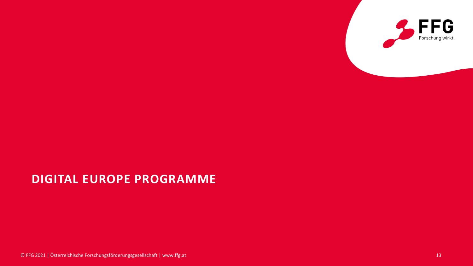

## **DIGITAL EUROPE PROGRAMME**

© FFG 2021 | Österreichische Forschungsförderungsgesellschaft | www.ffg.at 13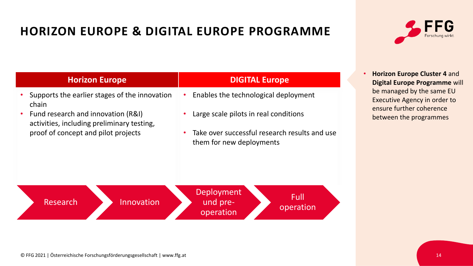# **HORIZON EUROPE & DIGITAL EUROPE PROGRAMME**



| <b>Horizon Europe</b>                                                                                                                                                             | <b>DIGITAL Europe</b>                                                                                                                                    | Horizon Europe Cluster 4 and<br>Digital Europe Programme will                                                   |  |
|-----------------------------------------------------------------------------------------------------------------------------------------------------------------------------------|----------------------------------------------------------------------------------------------------------------------------------------------------------|-----------------------------------------------------------------------------------------------------------------|--|
| Supports the earlier stages of the innovation<br>chain<br>Fund research and innovation (R&I)<br>activities, including preliminary testing,<br>proof of concept and pilot projects | Enables the technological deployment<br>Large scale pilots in real conditions<br>$\bullet$<br>Take over successful research results and use<br>$\bullet$ | be managed by the same EU<br>Executive Agency in order to<br>ensure further coherence<br>between the programmes |  |
|                                                                                                                                                                                   | them for new deployments                                                                                                                                 |                                                                                                                 |  |
| Research<br>Innovation                                                                                                                                                            | <b>Deployment</b><br>Full<br>und pre-<br>operation<br>operation                                                                                          |                                                                                                                 |  |

#### © FFG 2021 | Österreichische Forschungsförderungsgesellschaft | www.ffg.at 14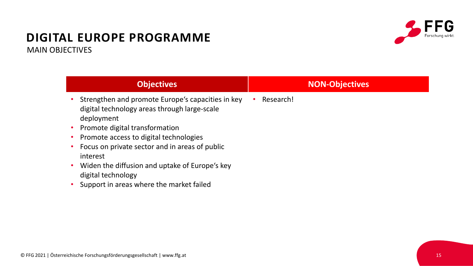## **DIGITAL EUROPE PROGRAMME** MAIN OBJECTIVES



| <b>Objectives</b>                                                                                                                                                                                                                                                                                                                                                                                      | <b>NON-Objectives</b> |
|--------------------------------------------------------------------------------------------------------------------------------------------------------------------------------------------------------------------------------------------------------------------------------------------------------------------------------------------------------------------------------------------------------|-----------------------|
| Strengthen and promote Europe's capacities in key<br>digital technology areas through large-scale<br>deployment<br>Promote digital transformation<br>٠<br>Promote access to digital technologies<br>٠<br>Focus on private sector and in areas of public<br>٠<br>interest<br>Widen the diffusion and uptake of Europe's key<br>٠<br>digital technology<br>Support in areas where the market failed<br>٠ | Research!             |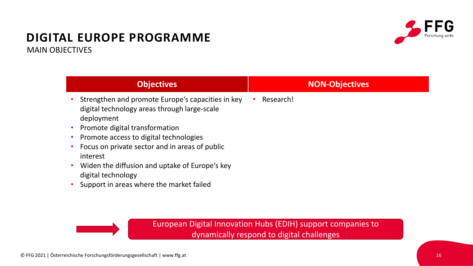### **DIGITAL EUROPE PROGRAMME** MAIN OBJECTIVES



| <b>Objectives</b>                                                                                                                                 |           | <b>NON-Objectives</b> |
|---------------------------------------------------------------------------------------------------------------------------------------------------|-----------|-----------------------|
| Strengthen and promote Europe's capacities in key<br>digital technology areas through large-scale<br>deployment<br>Promote digital transformation | Research! |                       |
| Promote access to digital technologies                                                                                                            |           |                       |
| Focus on private sector and in areas of public<br>interest                                                                                        |           |                       |
| Widen the diffusion and uptake of Europe's key<br>digital technology                                                                              |           |                       |
| Support in areas where the market failed                                                                                                          |           |                       |



European Digital Innovation Hubs (EDIH) support companies to dynamically respond to digital challenges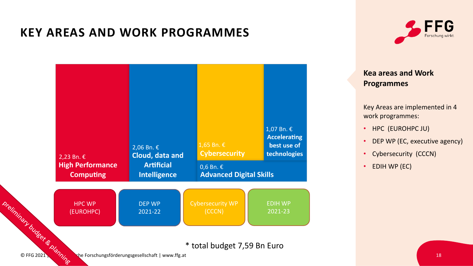## **KEY AREAS AND WORK PROGRAMMES**





### **Kea areas and Work Programmes**

Key Areas are implemented in 4 work programmes:

- HPC (EUROHPC JU)
- DEP WP (EC, executive agency)
- Cybersecurity (CCCN)
- EDIH WP (EC)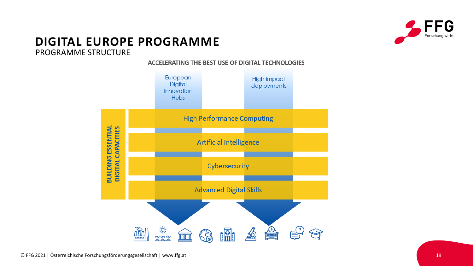

## **DIGITAL EUROPE PROGRAMME**

#### PROGRAMME STRUCTURE

#### ACCELERATING THE BEST USE OF DIGITAL TECHNOLOGIES

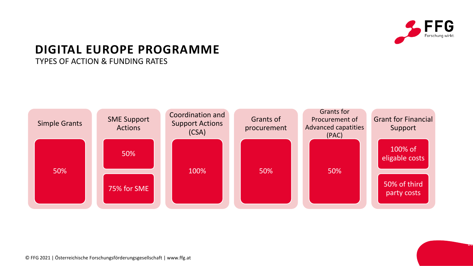

20

## **DIGITAL EUROPE PROGRAMME**

TYPES OF ACTION & FUNDING RATES

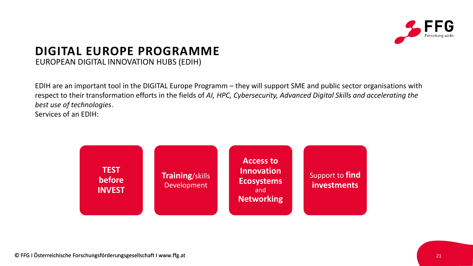

### **DIGITAL EUROPE PROGRAMME** EUROPEAN DIGITAL INNOVATION HUBS (EDIH)

EDIH are an important tool in the DIGITAL Europe Programm – they will support SME and public sector organisations with respect to their transformation efforts in the fields of *AI, HPC, Cybersecurity, Advanced Digital Skills and accelerating the best use of technologies*. Services of an EDIH:

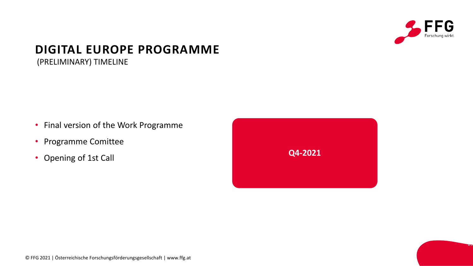

23

## **DIGITAL EUROPE PROGRAMME**

(PRELIMINARY) TIMELINE

- Final version of the Work Programme
- Programme Comittee
- Opening of 1st Call



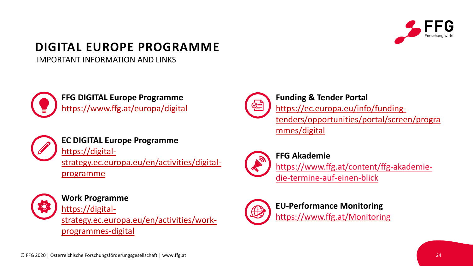

# **DIGITAL EUROPE PROGRAMME**

IMPORTANT INFORMATION AND LINKS



**FFG DIGITAL Europe Programme** https://www.ffg.at/europa/digital



**EC DIGITAL Europe Programme**

https://digitalstrategy.ec.europa.eu/en/activities/digital-

programme



**Work Programme**

https://digitalstrategy.ec.europa.eu/en/activities/workprogrammes-digital



**Funding & Tender Portal** https://ec.europa.eu/info/fundingtenders/opportunities/portal/screen/progra mmes/digital



**FFG Akademie**

[https://www.ffg.at/content/ffg-akademie](https://www.horizon-europe-community.at/)die-termine-auf-einen-blick



**EU-Performance Monitoring** <https://www.ffg.at/Monitoring>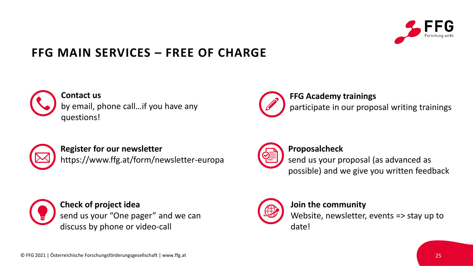

## **FFG MAIN SERVICES – FREE OF CHARGE**



**Contact us**  by email, phone call…if you have any questions!



### **FFG Academy trainings**

participate in our proposal writing trainings



**Register for our newsletter** https://www.ffg.at/form/newsletter-europa



#### **Proposalcheck**

send us your proposal (as advanced as possible) and we give you written feedback



**Check of project idea** send us your "One pager" and we can discuss by phone or video-call



### **Join the community**

Website, newsletter, events => stay up to date!